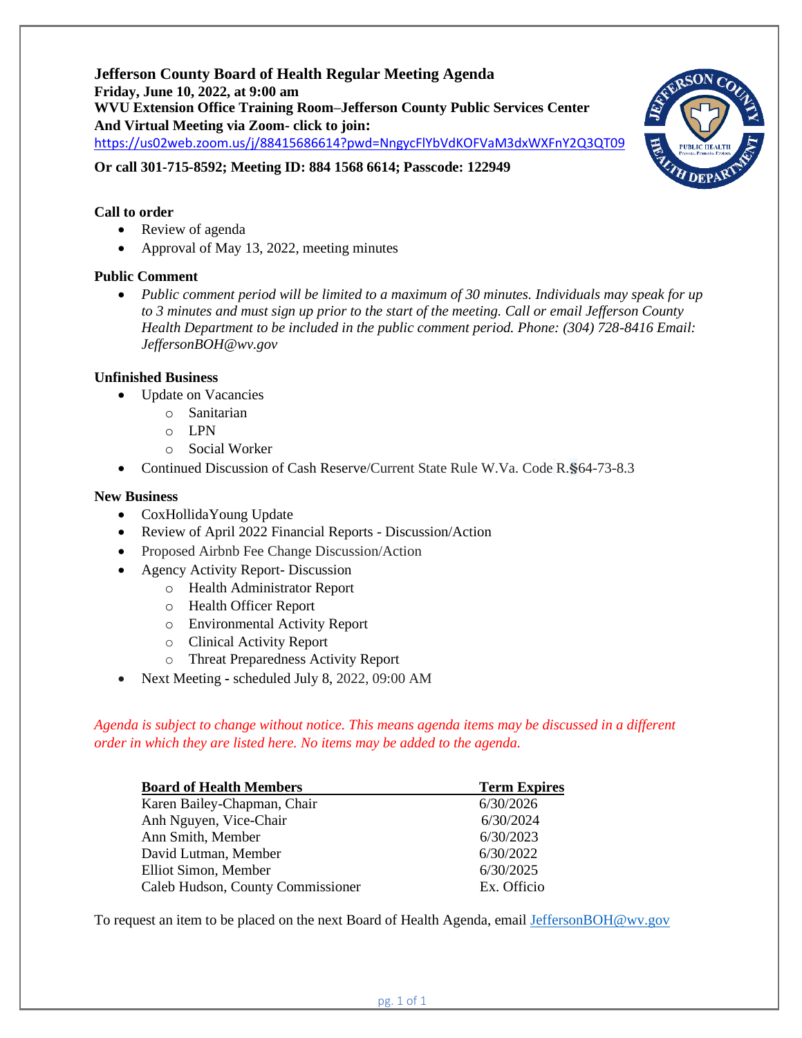**Jefferson County Board of Health Regular Meeting Agenda Friday, June 10, 2022, at 9:00 am WVU Extension Office Training Room–Jefferson County Public Services Center And Virtual Meeting via Zoom- click to join:** <https://us02web.zoom.us/j/88415686614?pwd=NngycFlYbVdKOFVaM3dxWXFnY2Q3QT09>



**Or call 301-715-8592; Meeting ID: 884 1568 6614; Passcode: 122949**

# **Call to order**

- Review of agenda
- Approval of May 13, 2022, meeting minutes

## **Public Comment**

• *Public comment period will be limited to a maximum of 30 minutes. Individuals may speak for up to 3 minutes and must sign up prior to the start of the meeting. Call or email Jefferson County Health Department to be included in the public comment period. Phone: (304) 728-8416 Email: JeffersonBOH@wv.gov*

## **Unfinished Business**

- Update on Vacancies
	- o Sanitarian
	- o LPN
	- o Social Worker
- Continued Discussion of Cash Reserve/Current State Rule W.Va. Code R.**§**64-73-8.3

## **New Business**

- CoxHollidaYoung Update
- Review of April 2022 Financial Reports Discussion/Action
- Proposed Airbnb Fee Change Discussion/Action
- Agency Activity Report- Discussion
	- o Health Administrator Report
	- o Health Officer Report
	- o Environmental Activity Report
	- o Clinical Activity Report
	- o Threat Preparedness Activity Report
- Next Meeting **-** scheduled July 8, 2022, 09:00 AM

*Agenda is subject to change without notice. This means agenda items may be discussed in a different order in which they are listed here. No items may be added to the agenda.*

| <b>Board of Health Members</b>    | <b>Term Expires</b> |
|-----------------------------------|---------------------|
| Karen Bailey-Chapman, Chair       | 6/30/2026           |
| Anh Nguyen, Vice-Chair            | 6/30/2024           |
| Ann Smith, Member                 | 6/30/2023           |
| David Lutman, Member              | 6/30/2022           |
| Elliot Simon, Member              | 6/30/2025           |
| Caleb Hudson, County Commissioner | Ex. Officio         |

To request an item to be placed on the next Board of Health Agenda, email [JeffersonBOH@wv.gov](mailto:JeffersonBOH@wv.gov)